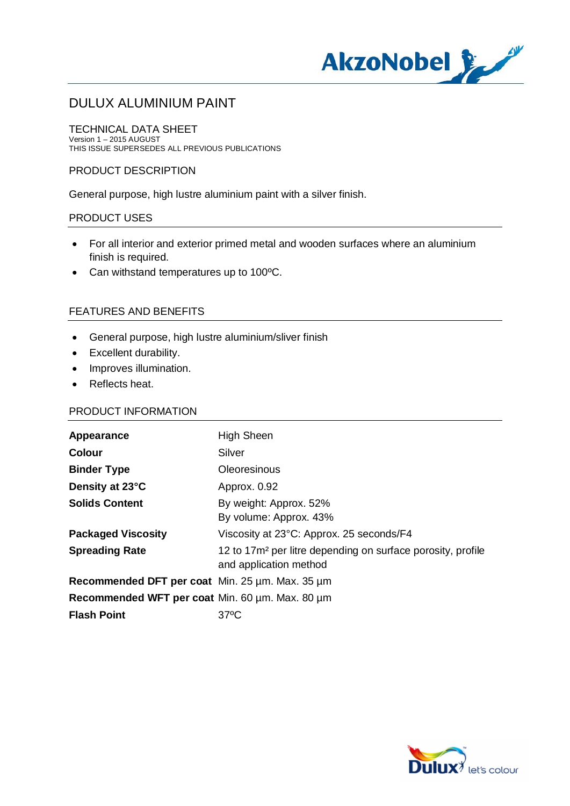

TECHNICAL DATA SHEET Version 1 – 2015 AUGUST THIS ISSUE SUPERSEDES ALL PREVIOUS PUBLICATIONS

#### PRODUCT DESCRIPTION

General purpose, high lustre aluminium paint with a silver finish.

#### PRODUCT USES

- · For all interior and exterior primed metal and wooden surfaces where an aluminium finish is required.
- · Can withstand temperatures up to 100ºC.

### FEATURES AND BENEFITS

- · General purpose, high lustre aluminium/sliver finish
- · Excellent durability.
- · Improves illumination.
- · Reflects heat.

#### PRODUCT INFORMATION

| Appearance                                      | <b>High Sheen</b>                                                                                 |
|-------------------------------------------------|---------------------------------------------------------------------------------------------------|
| <b>Colour</b>                                   | Silver                                                                                            |
| <b>Binder Type</b>                              | <b>Oleoresinous</b>                                                                               |
| Density at 23°C                                 | Approx. 0.92                                                                                      |
| <b>Solids Content</b>                           | By weight: Approx. 52%<br>By volume: Approx. 43%                                                  |
| <b>Packaged Viscosity</b>                       | Viscosity at 23°C: Approx. 25 seconds/F4                                                          |
| <b>Spreading Rate</b>                           | 12 to 17m <sup>2</sup> per litre depending on surface porosity, profile<br>and application method |
| Recommended DFT per coat Min. 25 µm. Max. 35 µm |                                                                                                   |
| Recommended WFT per coat Min. 60 µm. Max. 80 µm |                                                                                                   |
| <b>Flash Point</b>                              | $37^{\circ}$ C                                                                                    |

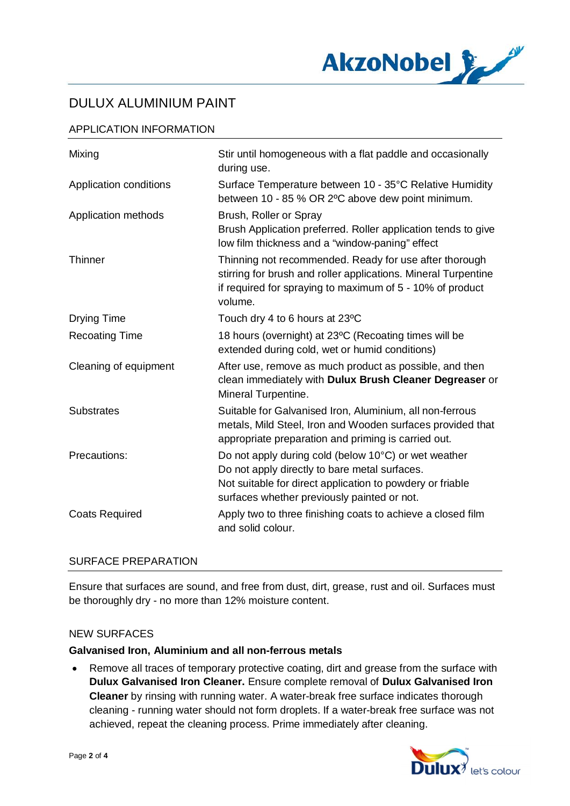

### APPLICATION INFORMATION

| Mixing                 | Stir until homogeneous with a flat paddle and occasionally<br>during use.                                                                                                                                         |
|------------------------|-------------------------------------------------------------------------------------------------------------------------------------------------------------------------------------------------------------------|
| Application conditions | Surface Temperature between 10 - 35°C Relative Humidity<br>between 10 - 85 % OR 2°C above dew point minimum.                                                                                                      |
| Application methods    | Brush, Roller or Spray<br>Brush Application preferred. Roller application tends to give<br>low film thickness and a "window-paning" effect                                                                        |
| Thinner                | Thinning not recommended. Ready for use after thorough<br>stirring for brush and roller applications. Mineral Turpentine<br>if required for spraying to maximum of 5 - 10% of product<br>volume.                  |
| <b>Drying Time</b>     | Touch dry 4 to 6 hours at 23°C                                                                                                                                                                                    |
| <b>Recoating Time</b>  | 18 hours (overnight) at 23°C (Recoating times will be<br>extended during cold, wet or humid conditions)                                                                                                           |
| Cleaning of equipment  | After use, remove as much product as possible, and then<br>clean immediately with Dulux Brush Cleaner Degreaser or<br>Mineral Turpentine.                                                                         |
| <b>Substrates</b>      | Suitable for Galvanised Iron, Aluminium, all non-ferrous<br>metals, Mild Steel, Iron and Wooden surfaces provided that<br>appropriate preparation and priming is carried out.                                     |
| Precautions:           | Do not apply during cold (below 10°C) or wet weather<br>Do not apply directly to bare metal surfaces.<br>Not suitable for direct application to powdery or friable<br>surfaces whether previously painted or not. |
| <b>Coats Required</b>  | Apply two to three finishing coats to achieve a closed film<br>and solid colour.                                                                                                                                  |

### SURFACE PREPARATION

Ensure that surfaces are sound, and free from dust, dirt, grease, rust and oil. Surfaces must be thoroughly dry - no more than 12% moisture content.

#### NEW SURFACES

#### **Galvanised Iron, Aluminium and all non-ferrous metals**

· Remove all traces of temporary protective coating, dirt and grease from the surface with **Dulux Galvanised Iron Cleaner.** Ensure complete removal of **Dulux Galvanised Iron Cleaner** by rinsing with running water. A water-break free surface indicates thorough cleaning - running water should not form droplets. If a water-break free surface was not achieved, repeat the cleaning process. Prime immediately after cleaning.

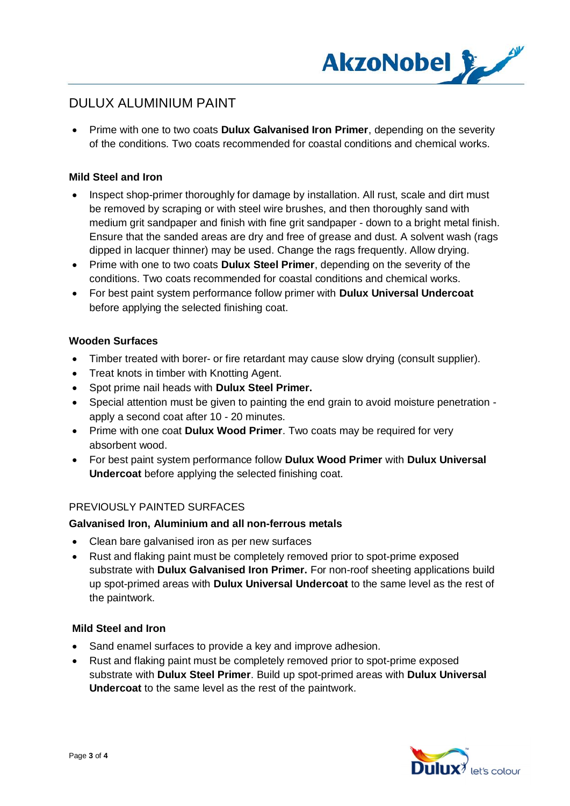

· Prime with one to two coats **Dulux Galvanised Iron Primer**, depending on the severity of the conditions. Two coats recommended for coastal conditions and chemical works.

#### **Mild Steel and Iron**

- Inspect shop-primer thoroughly for damage by installation. All rust, scale and dirt must be removed by scraping or with steel wire brushes, and then thoroughly sand with medium grit sandpaper and finish with fine grit sandpaper - down to a bright metal finish. Ensure that the sanded areas are dry and free of grease and dust. A solvent wash (rags dipped in lacquer thinner) may be used. Change the rags frequently. Allow drying.
- · Prime with one to two coats **Dulux Steel Primer**, depending on the severity of the conditions. Two coats recommended for coastal conditions and chemical works.
- · For best paint system performance follow primer with **Dulux Universal Undercoat** before applying the selected finishing coat.

#### **Wooden Surfaces**

- · Timber treated with borer- or fire retardant may cause slow drying (consult supplier).
- · Treat knots in timber with Knotting Agent.
- · Spot prime nail heads with **Dulux Steel Primer.**
- · Special attention must be given to painting the end grain to avoid moisture penetration apply a second coat after 10 - 20 minutes.
- · Prime with one coat **Dulux Wood Primer**. Two coats may be required for very absorbent wood.
- · For best paint system performance follow **Dulux Wood Primer** with **Dulux Universal Undercoat** before applying the selected finishing coat.

#### PREVIOUSLY PAINTED SURFACES

#### **Galvanised Iron, Aluminium and all non-ferrous metals**

- Clean bare galvanised iron as per new surfaces
- · Rust and flaking paint must be completely removed prior to spot-prime exposed substrate with **Dulux Galvanised Iron Primer.** For non-roof sheeting applications build up spot-primed areas with **Dulux Universal Undercoat** to the same level as the rest of the paintwork.

#### **Mild Steel and Iron**

- · Sand enamel surfaces to provide a key and improve adhesion.
- · Rust and flaking paint must be completely removed prior to spot-prime exposed substrate with **Dulux Steel Primer**. Build up spot-primed areas with **Dulux Universal Undercoat** to the same level as the rest of the paintwork.